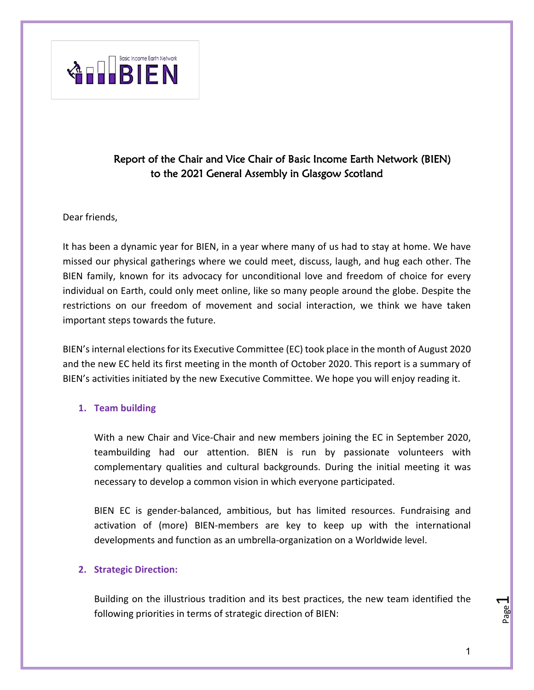

# Report of the Chair and Vice Chair of Basic Income Earth Network (BIEN) to the 2021 General Assembly in Glasgow Scotland

### Dear friends,

It has been a dynamic year for BIEN, in a year where many of us had to stay at home. We have missed our physical gatherings where we could meet, discuss, laugh, and hug each other. The BIEN family, known for its advocacy for unconditional love and freedom of choice for every individual on Earth, could only meet online, like so many people around the globe. Despite the restrictions on our freedom of movement and social interaction, we think we have taken important steps towards the future.

BIEN's internal elections for its Executive Committee (EC) took place in the month of August 2020 and the new EC held its first meeting in the month of October 2020. This report is a summary of BIEN's activities initiated by the new Executive Committee. We hope you will enjoy reading it.

### **1. Team building**

With a new Chair and Vice-Chair and new members joining the EC in September 2020, teambuilding had our attention. BIEN is run by passionate volunteers with complementary qualities and cultural backgrounds. During the initial meeting it was necessary to develop a common vision in which everyone participated.

BIEN EC is gender-balanced, ambitious, but has limited resources. Fundraising and activation of (more) BIEN-members are key to keep up with the international developments and function as an umbrella-organization on a Worldwide level.

### **2. Strategic Direction:**

Building on the illustrious tradition and its best practices, the new team identified the following priorities in terms of strategic direction of BIEN:

Page  $\overline{\phantom{0}}$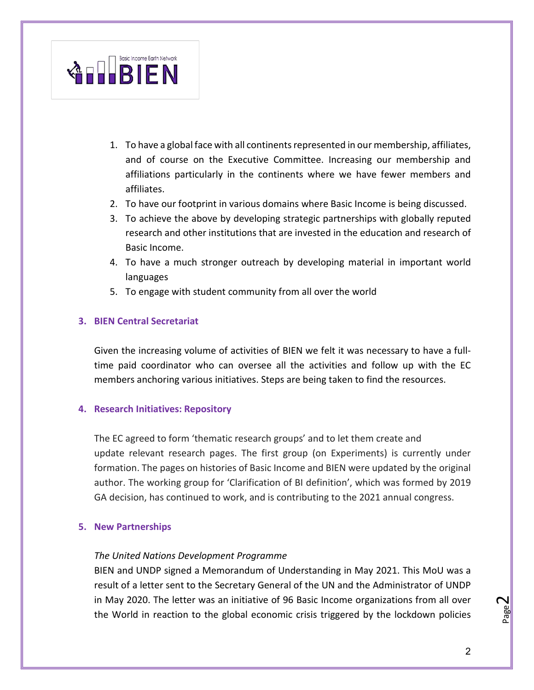

- 1. To have a global face with all continents represented in our membership, affiliates, and of course on the Executive Committee. Increasing our membership and affiliations particularly in the continents where we have fewer members and affiliates.
- 2. To have our footprint in various domains where Basic Income is being discussed.
- 3. To achieve the above by developing strategic partnerships with globally reputed research and other institutions that are invested in the education and research of Basic Income.
- 4. To have a much stronger outreach by developing material in important world languages
- 5. To engage with student community from all over the world

### **3. BIEN Central Secretariat**

Given the increasing volume of activities of BIEN we felt it was necessary to have a fulltime paid coordinator who can oversee all the activities and follow up with the EC members anchoring various initiatives. Steps are being taken to find the resources.

#### **4. Research Initiatives: Repository**

The EC agreed to form 'thematic research groups' and to let them create and update relevant research pages. The first group (on Experiments) is currently under formation. The pages on histories of Basic Income and BIEN were updated by the original author. The working group for 'Clarification of BI definition', which was formed by 2019 GA decision, has continued to work, and is contributing to the 2021 annual congress.

#### **5. New Partnerships**

#### *The United Nations Development Programme*

BIEN and UNDP signed a Memorandum of Understanding in May 2021. This MoU was a result of a letter sent to the Secretary General of the UN and the Administrator of UNDP in May 2020. The letter was an initiative of 96 Basic Income organizations from all over the World in reaction to the global economic crisis triggered by the lockdown policies

Page  $\boldsymbol{\sim}$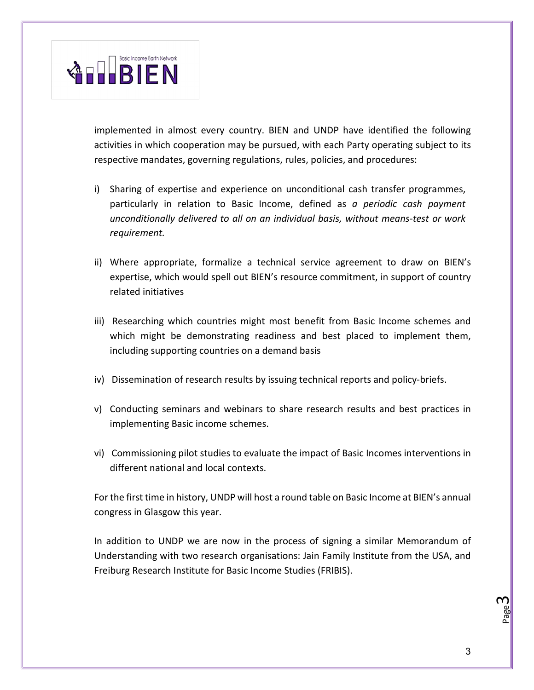

implemented in almost every country. BIEN and UNDP have identified the following activities in which cooperation may be pursued, with each Party operating subject to its respective mandates, governing regulations, rules, policies, and procedures:

- i) Sharing of expertise and experience on unconditional cash transfer programmes, particularly in relation to Basic Income, defined as *a periodic cash payment unconditionally delivered to all on an individual basis, without means-test or work requirement.*
- ii) Where appropriate, formalize a technical service agreement to draw on BIEN's expertise, which would spell out BIEN's resource commitment, in support of country related initiatives
- iii) Researching which countries might most benefit from Basic Income schemes and which might be demonstrating readiness and best placed to implement them, including supporting countries on a demand basis
- iv) Dissemination of research results by issuing technical reports and policy-briefs.
- v) Conducting seminars and webinars to share research results and best practices in implementing Basic income schemes.
- vi) Commissioning pilot studies to evaluate the impact of Basic Incomes interventions in different national and local contexts.

For the first time in history, UNDP will host a round table on Basic Income at BIEN's annual congress in Glasgow this year.

In addition to UNDP we are now in the process of signing a similar Memorandum of Understanding with two research organisations: Jain Family Institute from the USA, and Freiburg Research Institute for Basic Income Studies (FRIBIS).

Page ო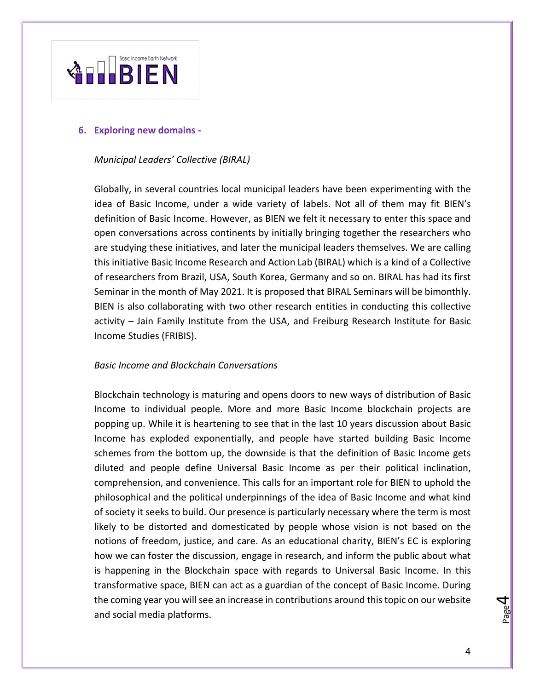

#### **6. Exploring new domains -**

#### *Municipal Leaders' Collective (BIRAL)*

Globally, in several countries local municipal leaders have been experimenting with the idea of Basic Income, under a wide variety of labels. Not all of them may fit BIEN's definition of Basic Income. However, as BIEN we felt it necessary to enter this space and open conversations across continents by initially bringing together the researchers who are studying these initiatives, and later the municipal leaders themselves. We are calling this initiative Basic Income Research and Action Lab (BIRAL) which is a kind of a Collective of researchers from Brazil, USA, South Korea, Germany and so on. BIRAL has had its first Seminar in the month of May 2021. It is proposed that BIRAL Seminars will be bimonthly. BIEN is also collaborating with two other research entities in conducting this collective activity – Jain Family Institute from the USA, and Freiburg Research Institute for Basic Income Studies (FRIBIS).

#### *Basic Income and Blockchain Conversations*

Blockchain technology is maturing and opens doors to new ways of distribution of Basic Income to individual people. More and more Basic Income blockchain projects are popping up. While it is heartening to see that in the last 10 years discussion about Basic Income has exploded exponentially, and people have started building Basic Income schemes from the bottom up, the downside is that the definition of Basic Income gets diluted and people define Universal Basic Income as per their political inclination, comprehension, and convenience. This calls for an important role for BIEN to uphold the philosophical and the political underpinnings of the idea of Basic Income and what kind of society it seeks to build. Our presence is particularly necessary where the term is most likely to be distorted and domesticated by people whose vision is not based on the notions of freedom, justice, and care. As an educational charity, BIEN's EC is exploring how we can foster the discussion, engage in research, and inform the public about what is happening in the Blockchain space with regards to Universal Basic Income. In this transformative space, BIEN can act as a guardian of the concept of Basic Income. During the coming year you will see an increase in contributions around this topic on our website and social media platforms.

Page 4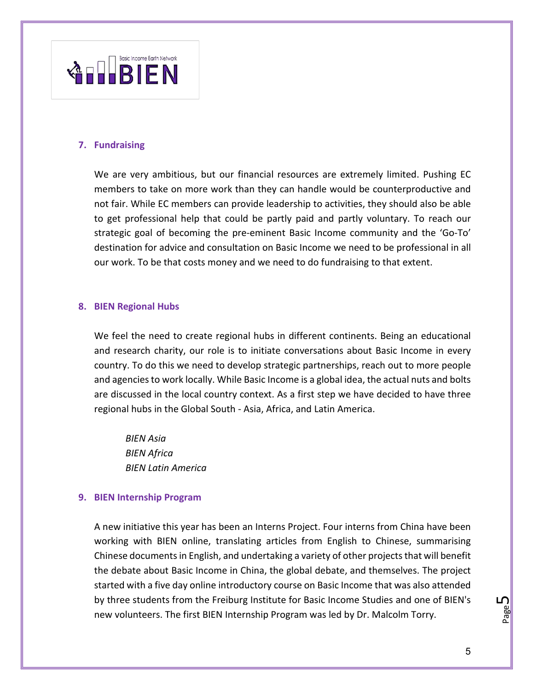

### **7. Fundraising**

We are very ambitious, but our financial resources are extremely limited. Pushing EC members to take on more work than they can handle would be counterproductive and not fair. While EC members can provide leadership to activities, they should also be able to get professional help that could be partly paid and partly voluntary. To reach our strategic goal of becoming the pre-eminent Basic Income community and the 'Go-To' destination for advice and consultation on Basic Income we need to be professional in all our work. To be that costs money and we need to do fundraising to that extent.

#### **8. BIEN Regional Hubs**

We feel the need to create regional hubs in different continents. Being an educational and research charity, our role is to initiate conversations about Basic Income in every country. To do this we need to develop strategic partnerships, reach out to more people and agencies to work locally. While Basic Income is a global idea, the actual nuts and bolts are discussed in the local country context. As a first step we have decided to have three regional hubs in the Global South - Asia, Africa, and Latin America.

*BIEN Asia BIEN Africa BIEN Latin America*

### **9. BIEN Internship Program**

A new initiative this year has been an Interns Project. Four interns from China have been working with BIEN online, translating articles from English to Chinese, summarising Chinese documents in English, and undertaking a variety of other projects that will benefit the debate about Basic Income in China, the global debate, and themselves. The project started with a five day online introductory course on Basic Income that was also attended by three students from the Freiburg Institute for Basic Income Studies and one of BIEN's new volunteers. The first BIEN Internship Program was led by Dr. Malcolm Torry.

Page ഥ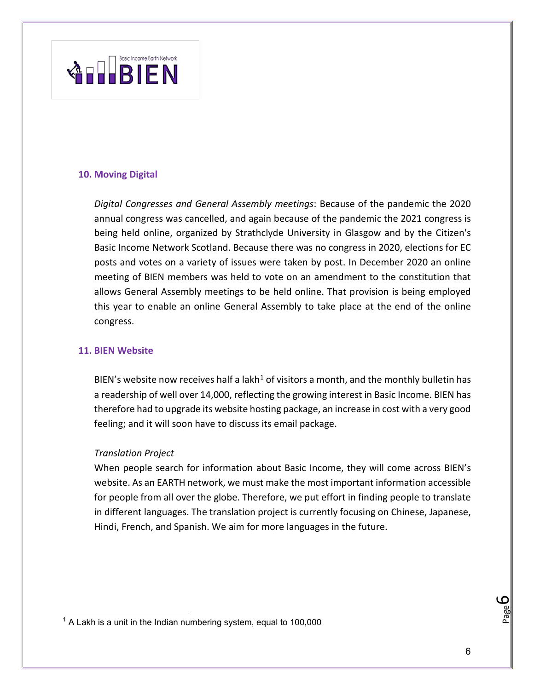

### **10. Moving Digital**

*Digital Congresses and General Assembly meetings*: Because of the pandemic the 2020 annual congress was cancelled, and again because of the pandemic the 2021 congress is being held online, organized by Strathclyde University in Glasgow and by the Citizen's Basic Income Network Scotland. Because there was no congress in 2020, elections for EC posts and votes on a variety of issues were taken by post. In December 2020 an online meeting of BIEN members was held to vote on an amendment to the constitution that allows General Assembly meetings to be held online. That provision is being employed this year to enable an online General Assembly to take place at the end of the online congress.

#### **11. BIEN Website**

BIEN's website now receives half a lakh<sup>[1](#page-5-0)</sup> of visitors a month, and the monthly bulletin has a readership of well over 14,000, reflecting the growing interest in Basic Income. BIEN has therefore had to upgrade its website hosting package, an increase in cost with a very good feeling; and it will soon have to discuss its email package.

#### *Translation Project*

When people search for information about Basic Income, they will come across BIEN's website. As an EARTH network, we must make the most important information accessible for people from all over the globe. Therefore, we put effort in finding people to translate in different languages. The translation project is currently focusing on Chinese, Japanese, Hindi, French, and Spanish. We aim for more languages in the future.

Page 6

<span id="page-5-0"></span> $1$  A Lakh is a unit in the Indian numbering system, equal to 100,000